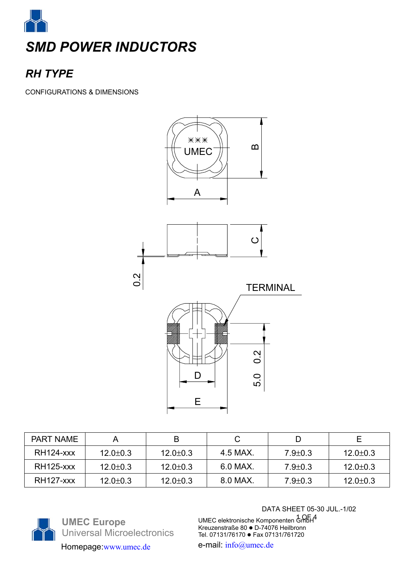

# *RH TYPE*

CONFIGURATIONS & DIMENSIONS



| <b>PART NAME</b> |                |                |          |               |                |
|------------------|----------------|----------------|----------|---------------|----------------|
| <b>RH124-xxx</b> | $12.0 \pm 0.3$ | $12.0 \pm 0.3$ | 4.5 MAX. | $7.9 \pm 0.3$ | $12.0 \pm 0.3$ |
| <b>RH125-xxx</b> | $12.0 \pm 0.3$ | $12.0 \pm 0.3$ | 6.0 MAX. | $7.9 \pm 0.3$ | $12.0 \pm 0.3$ |
| <b>RH127-xxx</b> | $12.0 \pm 0.3$ | $12.0 \pm 0.3$ | 8.0 MAX. | $7.9 \pm 0.3$ | $12.0 \pm 0.3$ |



**UMEC Europe**  Universal Microelectronics Homepage:www.umec.de e-mail: info@umec.de

DATA SHEET 05-30 JUL.-1/02

1 OF 4 UMEC elektronische Komponenten GmbH Kreuzenstraße 80 ● D-74076 Heilbronn Tel. 07131/76170 · Fax 07131/761720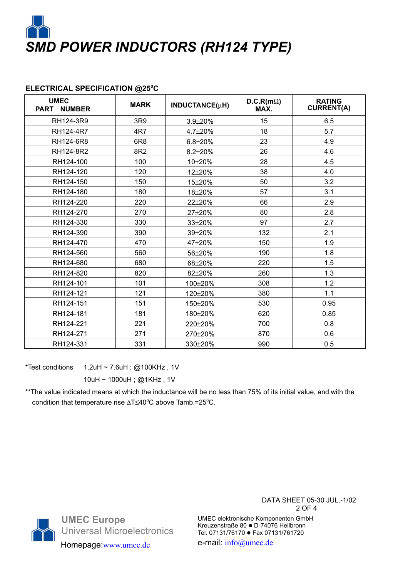

# **ELECTRICAL SPECIFICATION @250 C**

| <b>UMEC</b><br><b>PART NUMBER</b> | <b>MARK</b>     | INDUCTANCE(µH) | $D.C.R(m\Omega)$<br>MAX. | <b>RATING</b><br><b>CURRENT(A)</b> |
|-----------------------------------|-----------------|----------------|--------------------------|------------------------------------|
| RH124-3R9                         | 3R9             | $3.9 + 20%$    | 15                       | 6.5                                |
| RH124-4R7                         | 4R7             | 4.7±20%        | 18                       | 5.7                                |
| RH124-6R8                         | 6R <sub>8</sub> | $6.8 + 20%$    | 23                       | 4.9                                |
| RH124-8R2                         | 8R2             | $8.2 + 20%$    | 26                       | 4.6                                |
| RH124-100                         | 100             | 10±20%         | 28                       | 4.5                                |
| RH124-120                         | 120             | 12±20%         | 38                       | 4.0                                |
| RH124-150                         | 150             | 15±20%         | 50                       | 3.2                                |
| RH124-180                         | 180             | 18±20%         | 57                       | 3.1                                |
| RH124-220                         | 220             | 22±20%         | 66                       | 2.9                                |
| RH124-270                         | 270             | 27±20%         | 80                       | 2.8                                |
| RH124-330                         | 330             | 33±20%         | 97                       | 2.7                                |
| RH124-390                         | 390             | 39±20%         | 132                      | 2.1                                |
| RH124-470                         | 470             | 47±20%         | 150                      | 1.9                                |
| RH124-560                         | 560             | 56±20%         | 190                      | 1.8                                |
| RH124-680                         | 680             | 68±20%         | 220                      | 1.5                                |
| RH124-820                         | 820             | 82±20%         | 260                      | 1.3                                |
| RH124-101                         | 101             | 100±20%        | 308                      | 1.2                                |
| RH124-121                         | 121             | 120±20%        | 380                      | 1.1                                |
| RH124-151                         | 151             | 150±20%        | 530                      | 0.95                               |
| RH124-181                         | 181             | 180±20%        | 620                      | 0.85                               |
| RH124-221                         | 221             | 220±20%        | 700                      | 0.8                                |
| RH124-271                         | 271             | 270±20%        | 870                      | 0.6                                |
| RH124-331                         | 331             | 330±20%        | 990                      | 0.5                                |

\*Test conditions  $1.2$ uH ~ 7.6uH; @100KHz, 1V

10uH ~ 1000uH ; @1KHz , 1V

\*\*The value indicated means at which the inductance will be no less than 75% of its initial value, and with the condition that temperature rise  $\Delta T \leq 40^{\circ}$ C above Tamb.=25°C.



**UMEC Europe**  Universal Microelectronics Homepage:www.umec.de e-mail: info@umec.de

DATA SHEET 05-30 JUL.-1/02 2 OF 4

UMEC elektronische Komponenten GmbH Kreuzenstraße 80 ● D-74076 Heilbronn Tel. 07131/76170 · Fax 07131/761720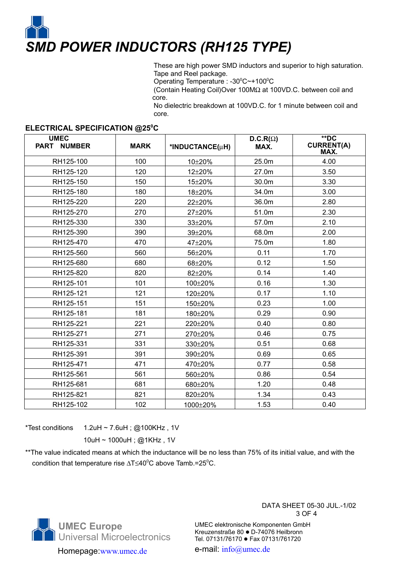

These are high power SMD inductors and superior to high saturation. Tape and Reel package.

Operating Temperature : -30<sup>°</sup>C~+100<sup>°</sup>C

(Contain Heating Coil)Over 100MΩ at 100VD.C. between coil and core.

No dielectric breakdown at 100VD.C. for 1 minute between coil and core.

### **ELECTRICAL SPECIFICATION @250 C**

| <b>UMEC</b><br>PART NUMBER | <b>MARK</b> | *INDUCTANCE(µH) | $D.C.R(\Omega)$<br>MAX. | $*$ DC<br><b>CURRENT(A)</b><br>MAX. |
|----------------------------|-------------|-----------------|-------------------------|-------------------------------------|
| RH125-100                  | 100         | 10±20%          | 25.0m                   | 4.00                                |
| RH125-120                  | 120         | 12±20%          | 27.0m                   | 3.50                                |
| RH125-150                  | 150         | 15±20%          | 30.0m                   | 3.30                                |
| RH125-180                  | 180         | 18±20%          | 34.0m                   | 3.00                                |
| RH125-220                  | 220         | 22±20%          | 36.0m                   | 2.80                                |
| RH125-270                  | 270         | 27±20%          | 51.0m                   | 2.30                                |
| RH125-330                  | 330         | 33±20%          | 57.0m                   | 2.10                                |
| RH125-390                  | 390         | 39±20%          | 68.0m                   | 2.00                                |
| RH125-470                  | 470         | 47±20%          | 75.0m                   | 1.80                                |
| RH125-560                  | 560         | 56±20%          | 0.11                    | 1.70                                |
| RH125-680                  | 680         | 68±20%          | 0.12                    | 1.50                                |
| RH125-820                  | 820         | 82±20%          | 0.14                    | 1.40                                |
| RH125-101                  | 101         | 100±20%         | 0.16                    | 1.30                                |
| RH125-121                  | 121         | 120±20%         | 0.17                    | 1.10                                |
| RH125-151                  | 151         | 150±20%         | 0.23                    | 1.00                                |
| RH125-181                  | 181         | 180±20%         | 0.29                    | 0.90                                |
| RH125-221                  | 221         | 220±20%         | 0.40                    | 0.80                                |
| RH125-271                  | 271         | 270±20%         | 0.46                    | 0.75                                |
| RH125-331                  | 331         | 330±20%         | 0.51                    | 0.68                                |
| RH125-391                  | 391         | 390±20%         | 0.69                    | 0.65                                |
| RH125-471                  | 471         | 470±20%         | 0.77                    | 0.58                                |
| RH125-561                  | 561         | 560±20%         | 0.86                    | 0.54                                |
| RH125-681                  | 681         | 680±20%         | 1.20                    | 0.48                                |
| RH125-821                  | 821         | 820±20%         | 1.34                    | 0.43                                |
| RH125-102                  | 102         | 1000±20%        | 1.53                    | 0.40                                |

\*Test conditions  $1.2$ uH ~ 7.6uH; @100KHz, 1V

10uH ~ 1000uH ; @1KHz , 1V

\*\*The value indicated means at which the inductance will be no less than 75% of its initial value, and with the condition that temperature rise ∆T≤40<sup>0</sup>C above Tamb.=25<sup>0</sup>C.



Homepage:www.umec.de e-mail: info@umec.de

#### DATA SHEET 05-30 JUL.-1/02 3 OF 4

UMEC elektronische Komponenten GmbH Kreuzenstraße 80 · D-74076 Heilbronn Tel. 07131/76170 · Fax 07131/761720